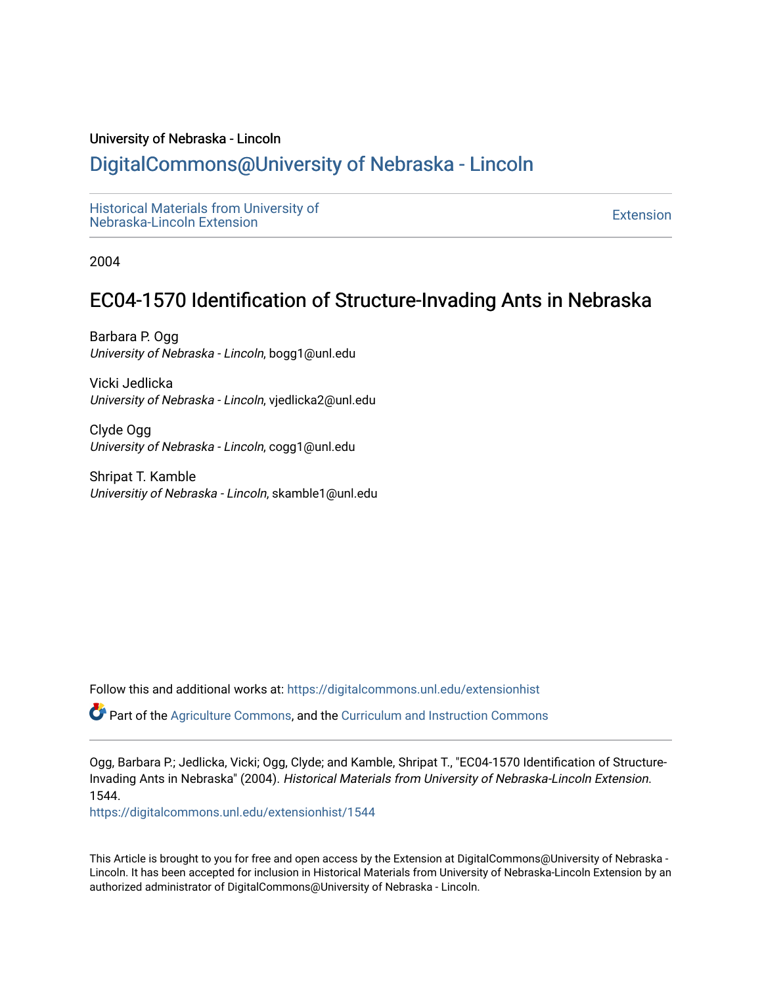#### University of Nebraska - Lincoln

### [DigitalCommons@University of Nebraska - Lincoln](https://digitalcommons.unl.edu/)

[Historical Materials from University of](https://digitalcommons.unl.edu/extensionhist)  nistorical Materials from Oniversity of the control of the control of the [Extension](https://digitalcommons.unl.edu/coop_extension) Extension extension of the<br>Nebraska-Lincoln Extension

2004

## EC04-1570 Identification of Structure-Invading Ants in Nebraska

Barbara P. Ogg University of Nebraska - Lincoln, bogg1@unl.edu

Vicki Jedlicka University of Nebraska - Lincoln, vjedlicka2@unl.edu

Clyde Ogg University of Nebraska - Lincoln, cogg1@unl.edu

Shripat T. Kamble Universitiy of Nebraska - Lincoln, skamble1@unl.edu

Follow this and additional works at: [https://digitalcommons.unl.edu/extensionhist](https://digitalcommons.unl.edu/extensionhist?utm_source=digitalcommons.unl.edu%2Fextensionhist%2F1544&utm_medium=PDF&utm_campaign=PDFCoverPages) 

Part of the [Agriculture Commons](http://network.bepress.com/hgg/discipline/1076?utm_source=digitalcommons.unl.edu%2Fextensionhist%2F1544&utm_medium=PDF&utm_campaign=PDFCoverPages), and the [Curriculum and Instruction Commons](http://network.bepress.com/hgg/discipline/786?utm_source=digitalcommons.unl.edu%2Fextensionhist%2F1544&utm_medium=PDF&utm_campaign=PDFCoverPages) 

Ogg, Barbara P.; Jedlicka, Vicki; Ogg, Clyde; and Kamble, Shripat T., "EC04-1570 Identification of Structure-Invading Ants in Nebraska" (2004). Historical Materials from University of Nebraska-Lincoln Extension. 1544.

[https://digitalcommons.unl.edu/extensionhist/1544](https://digitalcommons.unl.edu/extensionhist/1544?utm_source=digitalcommons.unl.edu%2Fextensionhist%2F1544&utm_medium=PDF&utm_campaign=PDFCoverPages) 

This Article is brought to you for free and open access by the Extension at DigitalCommons@University of Nebraska - Lincoln. It has been accepted for inclusion in Historical Materials from University of Nebraska-Lincoln Extension by an authorized administrator of DigitalCommons@University of Nebraska - Lincoln.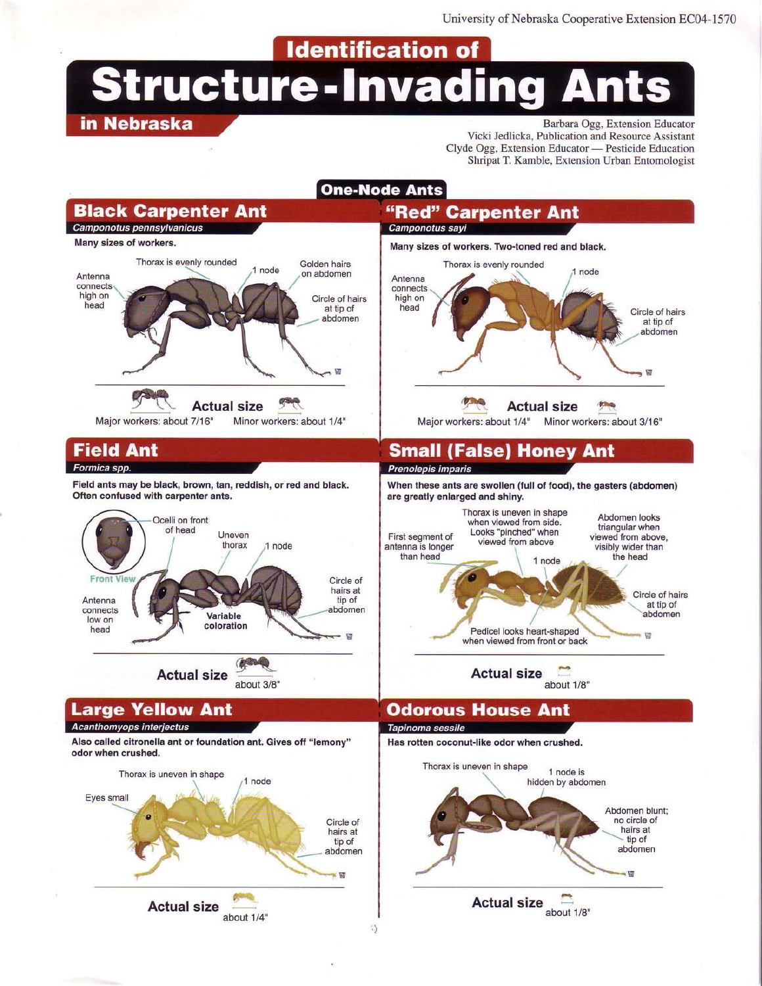**Identification of** 

# **Structure-Invading Ants**

#### in Nebraska

Barbara Ogg, Extension Educator Vicki Jedlicka, Publication and Resource Assistant Clyde Ogg, Extension Educator — Pesticide Education Shripat T. Kamble, Extension Urban Entomologist

#### **One-Node Ants**

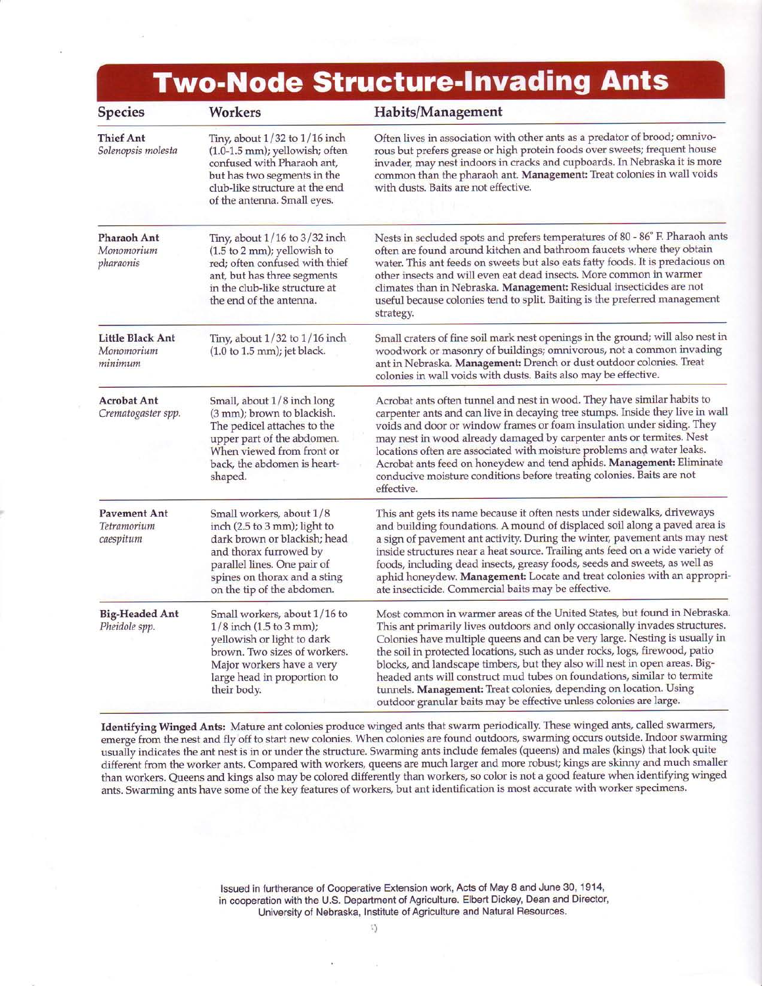# **Two-Node Structure-Invading Ants**

| <b>Species</b>                                   | <b>Workers</b>                                                                                                                                                                                                  | Habits/Management                                                                                                                                                                                                                                                                                                                                                                                                                                                                                                                                                                                                        |
|--------------------------------------------------|-----------------------------------------------------------------------------------------------------------------------------------------------------------------------------------------------------------------|--------------------------------------------------------------------------------------------------------------------------------------------------------------------------------------------------------------------------------------------------------------------------------------------------------------------------------------------------------------------------------------------------------------------------------------------------------------------------------------------------------------------------------------------------------------------------------------------------------------------------|
| <b>Thief Ant</b><br>Solenopsis molesta           | Tiny, about $1/32$ to $1/16$ inch<br>(1.0-1.5 mm); yellowish; often<br>confused with Pharaoh ant,<br>but has two segments in the<br>club-like structure at the end<br>of the antenna. Small eyes.               | Often lives in association with other ants as a predator of brood; omnivo-<br>rous but prefers grease or high protein foods over sweets; frequent house<br>invader, may nest indoors in cracks and cupboards. In Nebraska it is more<br>common than the pharaoh ant. Management: Treat colonies in wall voids<br>with dusts. Baits are not effective.                                                                                                                                                                                                                                                                    |
| <b>Pharaoh Ant</b><br>Monomorium<br>pharaonis    | Tiny, about $1/16$ to $3/32$ inch<br>$(1.5 to 2 mm)$ ; yellowish to<br>red; often confused with thief<br>ant, but has three segments<br>in the club-like structure at<br>the end of the antenna.                | Nests in secluded spots and prefers temperatures of 80 - 86° F. Pharaoh ants<br>often are found around kitchen and bathroom faucets where they obtain<br>water. This ant feeds on sweets but also eats fatty foods. It is predacious on<br>other insects and will even eat dead insects. More common in warmer<br>climates than in Nebraska. Management: Residual insecticides are not<br>useful because colonies tend to split. Baiting is the preferred management<br>strategy.                                                                                                                                        |
| <b>Little Black Ant</b><br>Monomorium<br>minimum | Tiny, about $1/32$ to $1/16$ inch<br>$(1.0 to 1.5 mm)$ ; jet black.                                                                                                                                             | Small craters of fine soil mark nest openings in the ground; will also nest in<br>woodwork or masonry of buildings; omnivorous, not a common invading<br>ant in Nebraska. Management: Drench or dust outdoor colonies. Treat<br>colonies in wall voids with dusts. Baits also may be effective.                                                                                                                                                                                                                                                                                                                          |
| <b>Acrobat Ant</b><br>Crematogaster spp.         | Small, about 1/8 inch long<br>(3 mm); brown to blackish.<br>The pedicel attaches to the<br>upper part of the abdomen.<br>When viewed from front or<br>back, the abdomen is heart-<br>shaped.                    | Acrobat ants often tunnel and nest in wood. They have similar habits to<br>carpenter ants and can live in decaying tree stumps. Inside they live in wall<br>voids and door or window frames or foam insulation under siding. They<br>may nest in wood already damaged by carpenter ants or termites. Nest<br>locations often are associated with moisture problems and water leaks.<br>Acrobat ants feed on honeydew and tend aphids. Management: Eliminate<br>conducive moisture conditions before treating colonies. Baits are not<br>effective.                                                                       |
| <b>Pavement Ant</b><br>Tetramorium<br>caespitum  | Small workers, about 1/8<br>inch (2.5 to 3 mm); light to<br>dark brown or blackish; head<br>and thorax furrowed by<br>parallel lines. One pair of<br>spines on thorax and a sting<br>on the tip of the abdomen. | This ant gets its name because it often nests under sidewalks, driveways<br>and building foundations. A mound of displaced soil along a paved area is<br>a sign of pavement ant activity. During the winter, pavement ants may nest<br>inside structures near a heat source. Trailing ants feed on a wide variety of<br>foods, including dead insects, greasy foods, seeds and sweets, as well as<br>aphid honeydew. Management: Locate and treat colonies with an appropri-<br>ate insecticide. Commercial baits may be effective.                                                                                      |
| <b>Big-Headed Ant</b><br>Pheidole spp.           | Small workers, about 1/16 to<br>$1/8$ inch (1.5 to 3 mm);<br>yellowish or light to dark<br>brown. Two sizes of workers.<br>Major workers have a very<br>large head in proportion to<br>their body.              | Most common in warmer areas of the United States, but found in Nebraska.<br>This ant primarily lives outdoors and only occasionally invades structures.<br>Colonies have multiple queens and can be very large. Nesting is usually in<br>the soil in protected locations, such as under rocks, logs, firewood, patio<br>blocks, and landscape timbers, but they also will nest in open areas. Big-<br>headed ants will construct mud tubes on foundations, similar to termite<br>tunnels. Management: Treat colonies, depending on location. Using<br>outdoor granular baits may be effective unless colonies are large. |

Identifying Winged Ants: Mature ant colonies produce winged ants that swarm periodically. These winged ants, called swarmers/ emerge from the nest and fly off to start new colonies. When colonies are found outdoors, swarming occurs outside. Indoor swarming usually indicates the ant nest is in or under the structure. Swarming ants include females (queens) and males (kings) that look quite different from the worker ants. Compared with workers, queens are much larger and more robust; kings are skinny and much smaller than workers. Queens and kings also may be colored differently than workers, so color is not a good feature when identifying winged ants. Swarming ants have some of the key feafures of workers, but ant identification is most accurate with worker specimens.

> lssued in furtherance of Cooperative Extension work, Acts of May 8 and June 30, 1 914, in cooperation with the U.S. Department of Agriculture. Elbert Dickey, Dean and Director, University of Nebraska, Institute of Agriculture and Natural Resources.

> > { l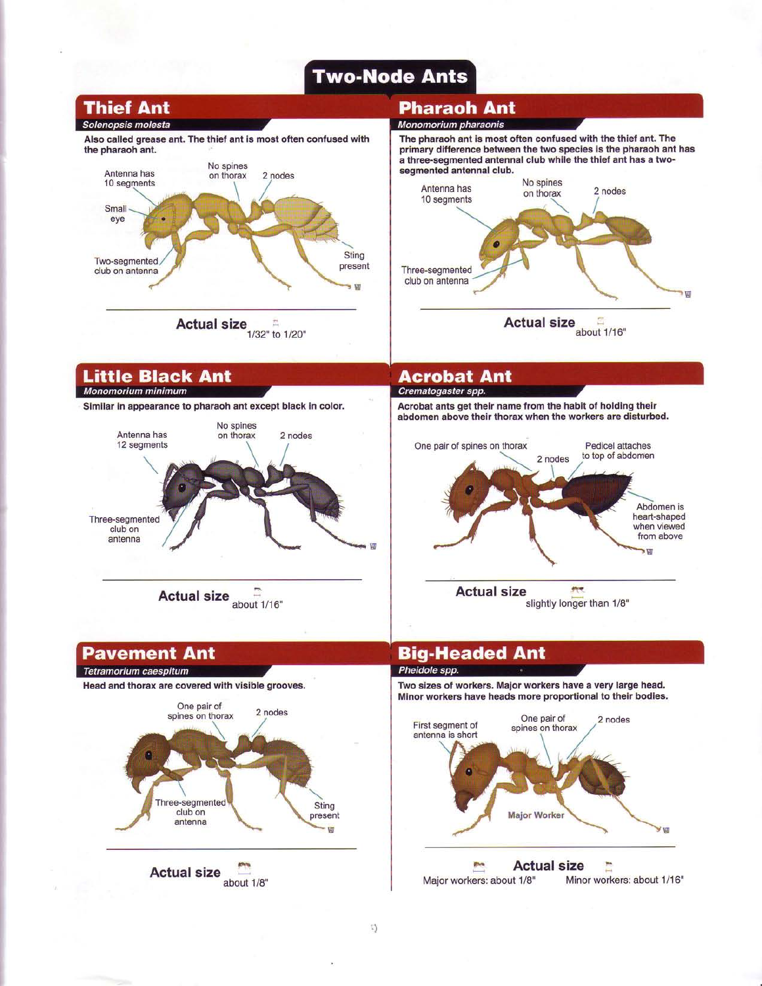# **Two-Node Ants**